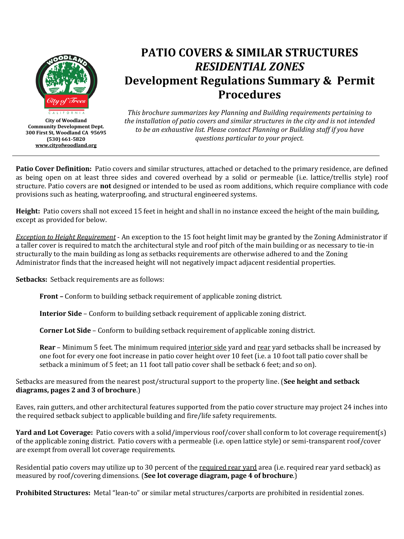

**City of Woodland Community Development Dept. 300 First St, Woodland CA 95695 (530) 661-5820 [www.cityofwoodland.org](http://www.cityofwoodland.org/)**

# **PATIO COVERS & SIMILAR STRUCTURES** *RESIDENTIAL ZONES* **Development Regulations Summary & Permit Procedures**

*This brochure summarizes key Planning and Building requirements pertaining to the installation of patio covers and similar structures in the city and is not intended to be an exhaustive list. Please contact Planning or Building staff if you have questions particular to your project.*

**Patio Cover Definition:** Patio covers and similar structures, attached or detached to the primary residence, are defined as being open on at least three sides and covered overhead by a solid or permeable (i.e. lattice/trellis style) roof structure. Patio covers are **not** designed or intended to be used as room additions, which require compliance with code provisions such as heating, waterproofing, and structural engineered systems.

**Height:** Patio covers shall not exceed 15 feet in height and shall in no instance exceed the height of the main building, except as provided for below.

*Exception to Height Requirement* - An exception to the 15 foot height limit may be granted by the Zoning Administrator if a taller cover is required to match the architectural style and roof pitch of the main building or as necessary to tie-in structurally to the main building as long as setbacks requirements are otherwise adhered to and the Zoning Administrator finds that the increased height will not negatively impact adjacent residential properties.

**Setbacks:** Setback requirements are as follows:

**Front –** Conform to building setback requirement of applicable zoning district.

**Interior Side** – Conform to building setback requirement of applicable zoning district.

**Corner Lot Side** – Conform to building setback requirement of applicable zoning district.

**Rear** – Minimum 5 feet. The minimum required interior side yard and rear yard setbacks shall be increased by one foot for every one foot increase in patio cover height over 10 feet (i.e. a 10 foot tall patio cover shall be setback a minimum of 5 feet; an 11 foot tall patio cover shall be setback 6 feet; and so on).

Setbacks are measured from the nearest post/structural support to the property line. (**See height and setback diagrams, pages 2 and 3 of brochure**.)

Eaves, rain gutters, and other architectural features supported from the patio cover structure may project 24 inches into the required setback subject to applicable building and fire/life safety requirements.

**Yard and Lot Coverage:** Patio covers with a solid/impervious roof/cover shall conform to lot coverage requirement(s) of the applicable zoning district. Patio covers with a permeable (i.e. open lattice style) or semi-transparent roof/cover are exempt from overall lot coverage requirements.

Residential patio covers may utilize up to 30 percent of the required rear yard area (i.e. required rear yard setback) as measured by roof/covering dimensions. (**See lot coverage diagram, page 4 of brochure**.)

**Prohibited Structures:** Metal "lean-to" or similar metal structures/carports are prohibited in residential zones.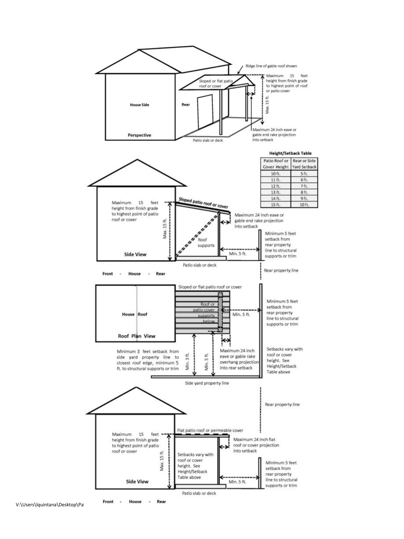

V:\Users\lquintana\Desktop\Pation Front - House -

Rear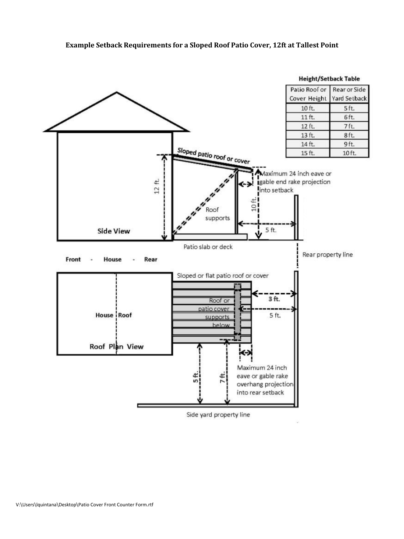

Side yard property line